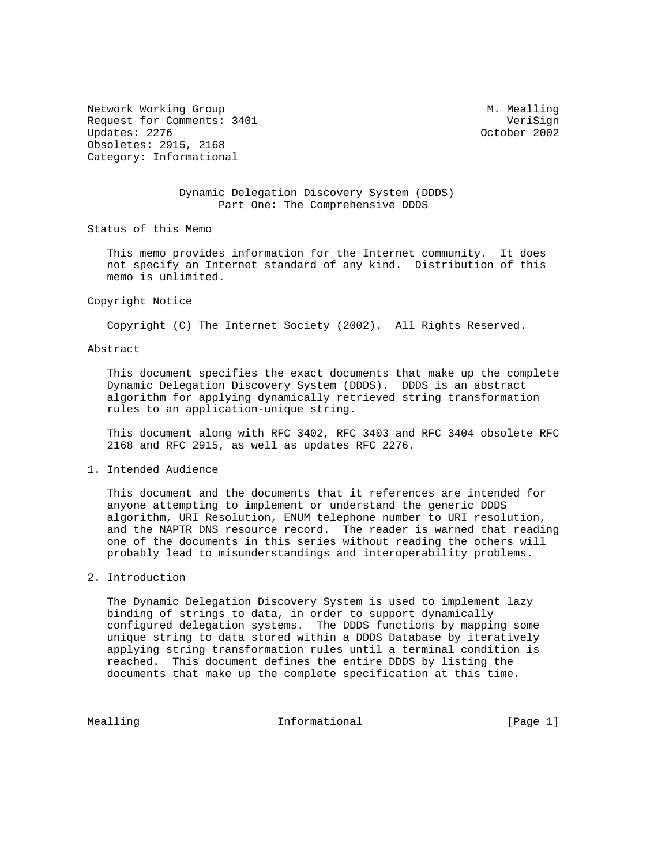Network Working Group and Month Communications of M. Mealling Request for Comments: 3401 VeriSign<br>Updates: 2276 VeriSign Updates: 2276 Updates: 2276 Obsoletes: 2915, 2168 Category: Informational

# Dynamic Delegation Discovery System (DDDS) Part One: The Comprehensive DDDS

Status of this Memo

 This memo provides information for the Internet community. It does not specify an Internet standard of any kind. Distribution of this memo is unlimited.

#### Copyright Notice

Copyright (C) The Internet Society (2002). All Rights Reserved.

### Abstract

 This document specifies the exact documents that make up the complete Dynamic Delegation Discovery System (DDDS). DDDS is an abstract algorithm for applying dynamically retrieved string transformation rules to an application-unique string.

 This document along with RFC 3402, RFC 3403 and RFC 3404 obsolete RFC 2168 and RFC 2915, as well as updates RFC 2276.

## 1. Intended Audience

 This document and the documents that it references are intended for anyone attempting to implement or understand the generic DDDS algorithm, URI Resolution, ENUM telephone number to URI resolution, and the NAPTR DNS resource record. The reader is warned that reading one of the documents in this series without reading the others will probably lead to misunderstandings and interoperability problems.

## 2. Introduction

 The Dynamic Delegation Discovery System is used to implement lazy binding of strings to data, in order to support dynamically configured delegation systems. The DDDS functions by mapping some unique string to data stored within a DDDS Database by iteratively applying string transformation rules until a terminal condition is reached. This document defines the entire DDDS by listing the documents that make up the complete specification at this time.

Mealling **Informational Informational** [Page 1]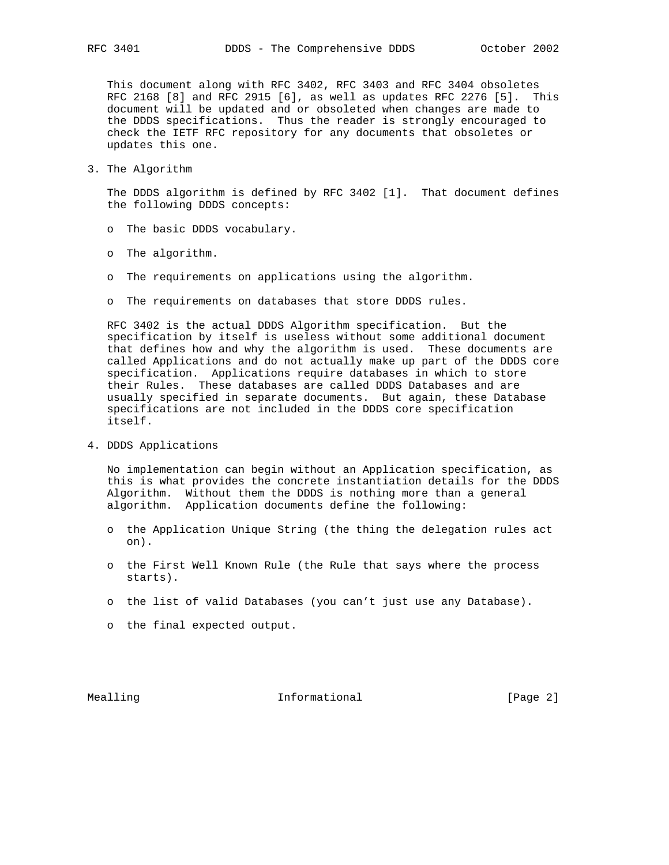This document along with RFC 3402, RFC 3403 and RFC 3404 obsoletes RFC 2168 [8] and RFC 2915 [6], as well as updates RFC 2276 [5]. This document will be updated and or obsoleted when changes are made to the DDDS specifications. Thus the reader is strongly encouraged to check the IETF RFC repository for any documents that obsoletes or updates this one.

3. The Algorithm

 The DDDS algorithm is defined by RFC 3402 [1]. That document defines the following DDDS concepts:

- o The basic DDDS vocabulary.
- o The algorithm.
- o The requirements on applications using the algorithm.
- o The requirements on databases that store DDDS rules.

 RFC 3402 is the actual DDDS Algorithm specification. But the specification by itself is useless without some additional document that defines how and why the algorithm is used. These documents are called Applications and do not actually make up part of the DDDS core specification. Applications require databases in which to store their Rules. These databases are called DDDS Databases and are usually specified in separate documents. But again, these Database specifications are not included in the DDDS core specification itself.

4. DDDS Applications

 No implementation can begin without an Application specification, as this is what provides the concrete instantiation details for the DDDS Algorithm. Without them the DDDS is nothing more than a general algorithm. Application documents define the following:

- o the Application Unique String (the thing the delegation rules act on).
- o the First Well Known Rule (the Rule that says where the process starts).
- o the list of valid Databases (you can't just use any Database).
- o the final expected output.

Mealling 10 and 10 millional 11 million in the UP of the Mean of the Mean of the Mean of the Informational 10 million in the UP of the Mean of the Mean of the Mean of the Mean of the Mean of the Mean of the Mean of the Mea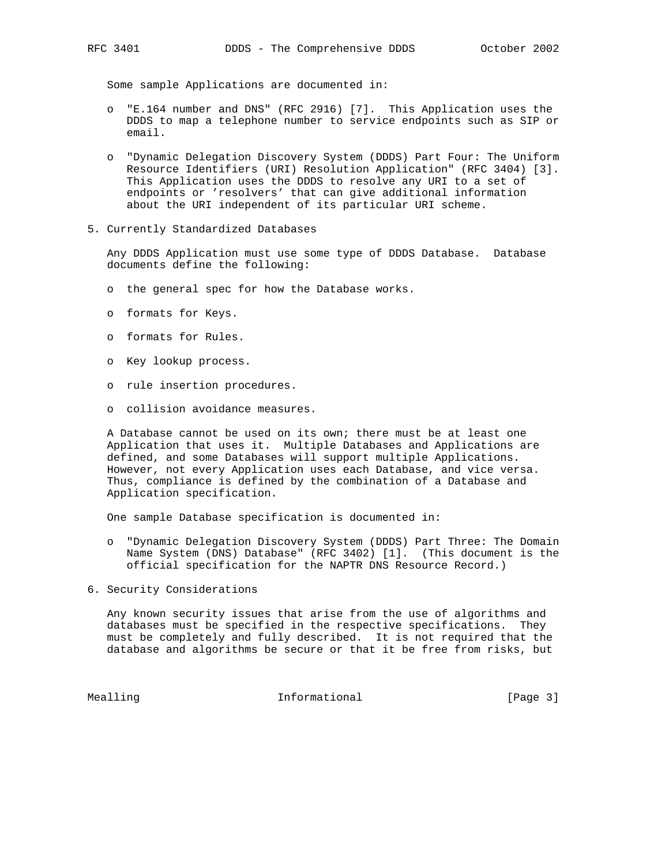Some sample Applications are documented in:

- o "E.164 number and DNS" (RFC 2916) [7]. This Application uses the DDDS to map a telephone number to service endpoints such as SIP or email.
- o "Dynamic Delegation Discovery System (DDDS) Part Four: The Uniform Resource Identifiers (URI) Resolution Application" (RFC 3404) [3]. This Application uses the DDDS to resolve any URI to a set of endpoints or 'resolvers' that can give additional information about the URI independent of its particular URI scheme.
- 5. Currently Standardized Databases

 Any DDDS Application must use some type of DDDS Database. Database documents define the following:

- o the general spec for how the Database works.
- o formats for Keys.
- o formats for Rules.
- o Key lookup process.
- o rule insertion procedures.
- o collision avoidance measures.

 A Database cannot be used on its own; there must be at least one Application that uses it. Multiple Databases and Applications are defined, and some Databases will support multiple Applications. However, not every Application uses each Database, and vice versa. Thus, compliance is defined by the combination of a Database and Application specification.

One sample Database specification is documented in:

- o "Dynamic Delegation Discovery System (DDDS) Part Three: The Domain Name System (DNS) Database" (RFC 3402) [1]. (This document is the official specification for the NAPTR DNS Resource Record.)
- 6. Security Considerations

 Any known security issues that arise from the use of algorithms and databases must be specified in the respective specifications. They must be completely and fully described. It is not required that the database and algorithms be secure or that it be free from risks, but

Mealling **Informational Informational** [Page 3]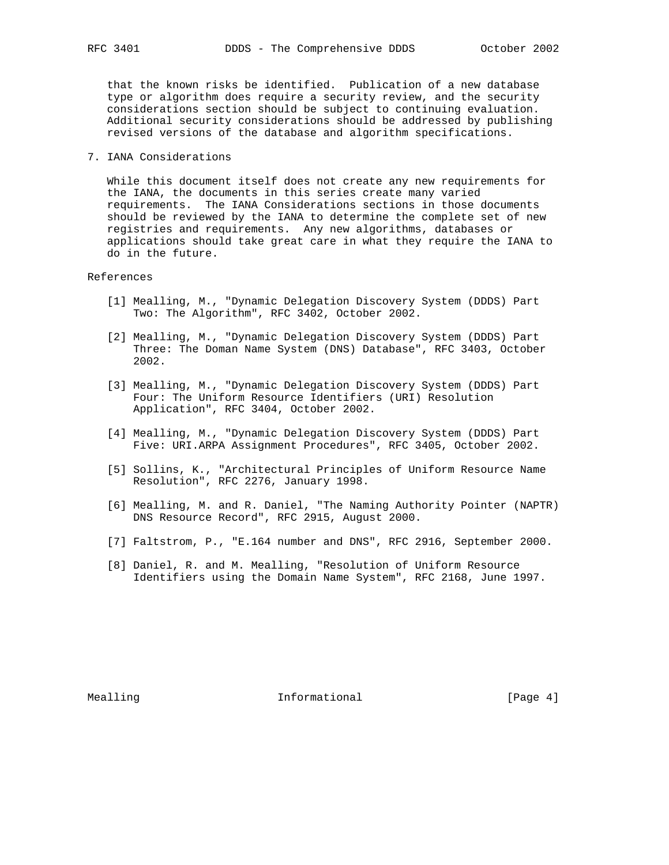that the known risks be identified. Publication of a new database type or algorithm does require a security review, and the security considerations section should be subject to continuing evaluation. Additional security considerations should be addressed by publishing revised versions of the database and algorithm specifications.

7. IANA Considerations

 While this document itself does not create any new requirements for the IANA, the documents in this series create many varied requirements. The IANA Considerations sections in those documents should be reviewed by the IANA to determine the complete set of new registries and requirements. Any new algorithms, databases or applications should take great care in what they require the IANA to do in the future.

# References

- [1] Mealling, M., "Dynamic Delegation Discovery System (DDDS) Part Two: The Algorithm", RFC 3402, October 2002.
- [2] Mealling, M., "Dynamic Delegation Discovery System (DDDS) Part Three: The Doman Name System (DNS) Database", RFC 3403, October 2002.
- [3] Mealling, M., "Dynamic Delegation Discovery System (DDDS) Part Four: The Uniform Resource Identifiers (URI) Resolution Application", RFC 3404, October 2002.
- [4] Mealling, M., "Dynamic Delegation Discovery System (DDDS) Part Five: URI.ARPA Assignment Procedures", RFC 3405, October 2002.
- [5] Sollins, K., "Architectural Principles of Uniform Resource Name Resolution", RFC 2276, January 1998.
- [6] Mealling, M. and R. Daniel, "The Naming Authority Pointer (NAPTR) DNS Resource Record", RFC 2915, August 2000.
- [7] Faltstrom, P., "E.164 number and DNS", RFC 2916, September 2000.
- [8] Daniel, R. and M. Mealling, "Resolution of Uniform Resource Identifiers using the Domain Name System", RFC 2168, June 1997.

Mealling 10 and 10 millional 11 million of the UP and Theorem and Theorem 10 and 10 million 10 million of the M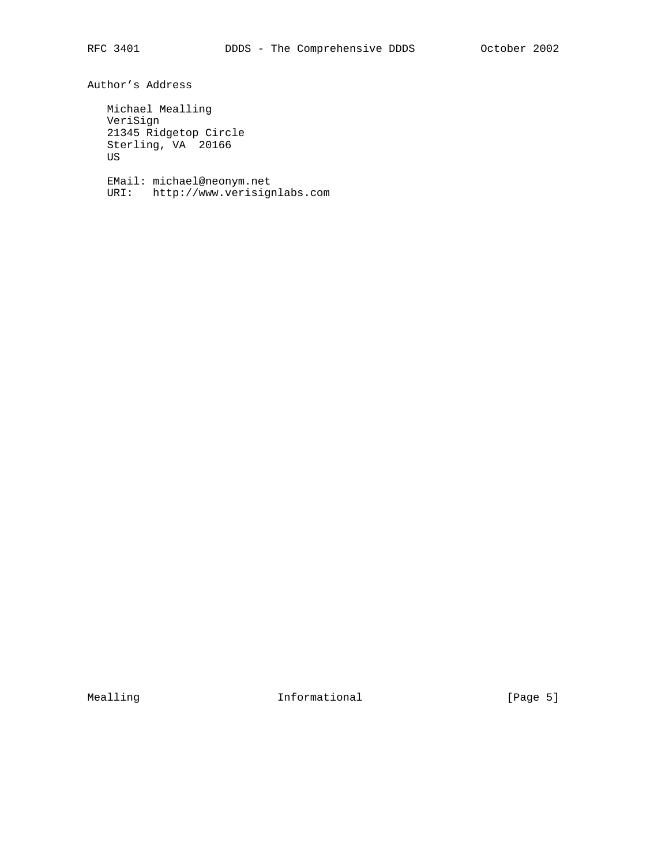Author's Address

 Michael Mealling VeriSign 21345 Ridgetop Circle Sterling, VA 20166 US

 EMail: michael@neonym.net URI: http://www.verisignlabs.com

Mealling 10 Informational 10 Informational [Page 5]